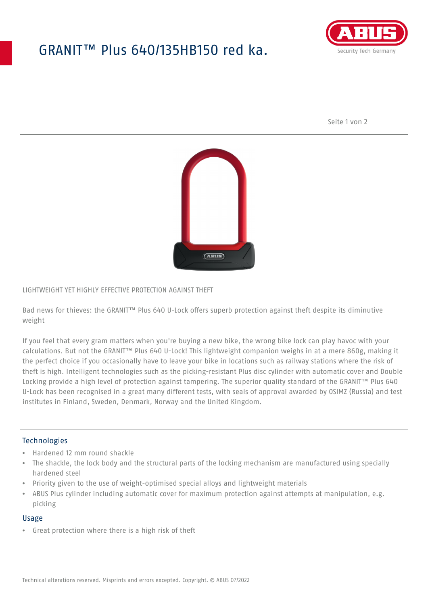## GRANIT™ Plus 640/135HB150 red ka.



Seite 1 von 2



#### LIGHTWEIGHT YET HIGHLY EFFECTIVE PROTECTION AGAINST THEFT

Bad news for thieves: the GRANIT™ Plus 640 U-Lock offers superb protection against theft despite its diminutive weight

If you feel that every gram matters when you're buying a new bike, the wrong bike lock can play havoc with your calculations. But not the GRANIT™ Plus 640 U-Lock! This lightweight companion weighs in at a mere 860g, making it the perfect choice if you occasionally have to leave your bike in locations such as railway stations where the risk of theft is high. Intelligent technologies such as the picking-resistant Plus disc cylinder with automatic cover and Double Locking provide a high level of protection against tampering. The superior quality standard of the GRANIT™ Plus 640 U-Lock has been recognised in a great many different tests, with seals of approval awarded by OSIMZ (Russia) and test institutes in Finland, Sweden, Denmark, Norway and the United Kingdom.

## **Technologies**

- Hardened 12 mm round shackle
- The shackle, the lock body and the structural parts of the locking mechanism are manufactured using specially hardened steel
- Priority given to the use of weight-optimised special alloys and lightweight materials
- ABUS Plus cylinder including automatic cover for maximum protection against attempts at manipulation, e.g. picking

#### Usage

• Great protection where there is a high risk of theft